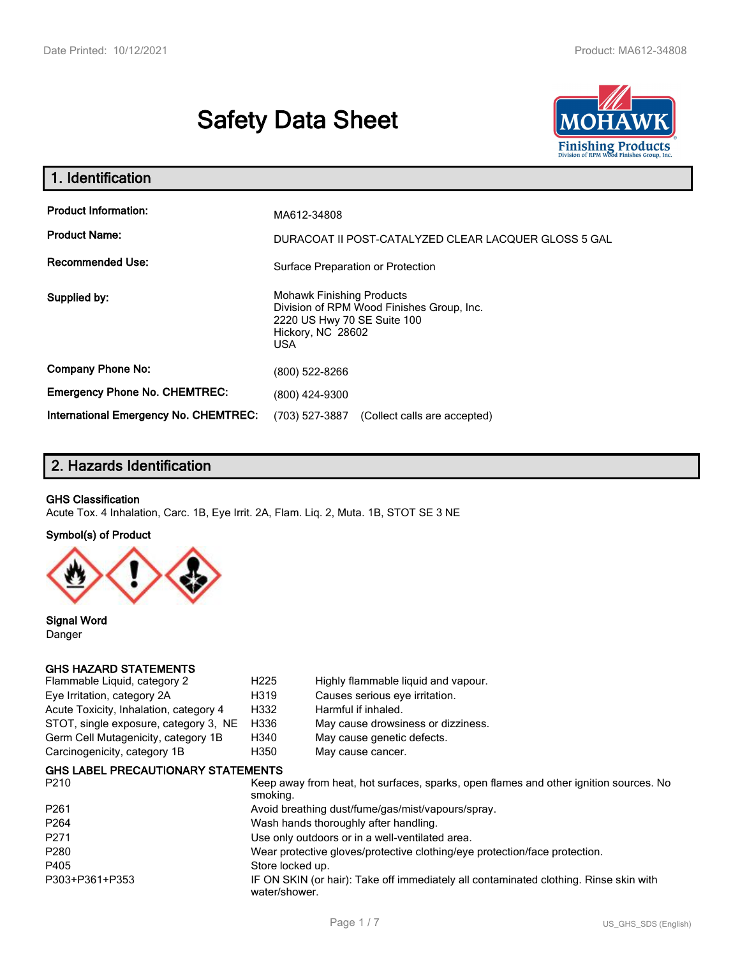# **Safety Data Sheet**



| 1. Identification                                                              |                                                                                                                                          |
|--------------------------------------------------------------------------------|------------------------------------------------------------------------------------------------------------------------------------------|
| <b>Product Information:</b><br><b>Product Name:</b><br><b>Recommended Use:</b> | MA612-34808<br>DURACOAT II POST-CATALYZED CLEAR LACQUER GLOSS 5 GAL<br>Surface Preparation or Protection                                 |
| Supplied by:                                                                   | <b>Mohawk Finishing Products</b><br>Division of RPM Wood Finishes Group, Inc.<br>2220 US Hwy 70 SE Suite 100<br>Hickory, NC 28602<br>USA |
| <b>Company Phone No:</b>                                                       | (800) 522-8266                                                                                                                           |
| <b>Emergency Phone No. CHEMTREC:</b>                                           | (800) 424-9300                                                                                                                           |
| <b>International Emergency No. CHEMTREC:</b>                                   | (703) 527-3887 (Collect calls are accepted)                                                                                              |

# **2. Hazards Identification**

#### **GHS Classification**

Acute Tox. 4 Inhalation, Carc. 1B, Eye Irrit. 2A, Flam. Liq. 2, Muta. 1B, STOT SE 3 NE

#### **Symbol(s) of Product**



**Signal Word** Danger

#### **GHS HAZARD STATEMENTS**

| Flammable Liquid, category 2           | H <sub>225</sub> | Highly flammable liquid and vapour. |
|----------------------------------------|------------------|-------------------------------------|
| Eye Irritation, category 2A            | H319             | Causes serious eye irritation.      |
| Acute Toxicity, Inhalation, category 4 | H332             | Harmful if inhaled.                 |
| STOT, single exposure, category 3, NE  | H336             | May cause drowsiness or dizziness.  |
| Germ Cell Mutagenicity, category 1B    | H340             | May cause genetic defects.          |
| Carcinogenicity, category 1B           | H350             | May cause cancer.                   |
|                                        |                  |                                     |

### **GHS LABEL PRECAUTIONARY STATEMENTS**

| P <sub>210</sub> | Keep away from heat, hot surfaces, sparks, open flames and other ignition sources. No<br>smoking.      |
|------------------|--------------------------------------------------------------------------------------------------------|
| P <sub>261</sub> | Avoid breathing dust/fume/gas/mist/vapours/spray.                                                      |
| P <sub>264</sub> | Wash hands thoroughly after handling.                                                                  |
| P <sub>271</sub> | Use only outdoors or in a well-ventilated area.                                                        |
| P <sub>280</sub> | Wear protective gloves/protective clothing/eye protection/face protection.                             |
| P405             | Store locked up.                                                                                       |
| P303+P361+P353   | IF ON SKIN (or hair): Take off immediately all contaminated clothing. Rinse skin with<br>water/shower. |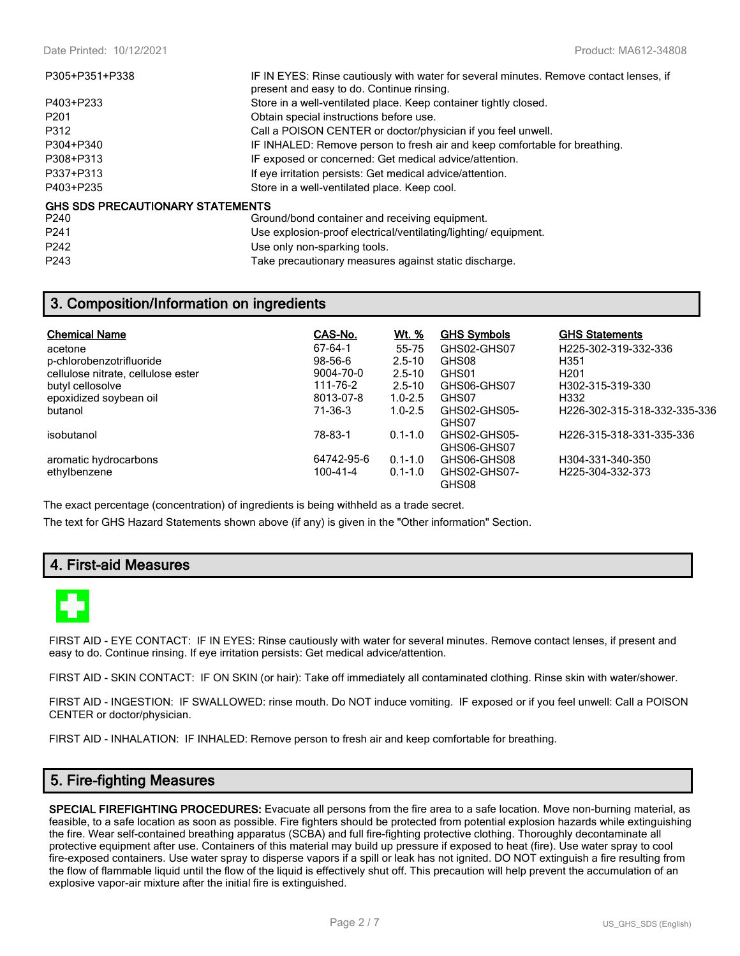| P305+P351+P338                   | IF IN EYES: Rinse cautiously with water for several minutes. Remove contact lenses, if<br>present and easy to do. Continue rinsing. |
|----------------------------------|-------------------------------------------------------------------------------------------------------------------------------------|
| P403+P233                        | Store in a well-ventilated place. Keep container tightly closed.                                                                    |
| P <sub>201</sub>                 | Obtain special instructions before use.                                                                                             |
| P312                             | Call a POISON CENTER or doctor/physician if you feel unwell.                                                                        |
| P304+P340                        | IF INHALED: Remove person to fresh air and keep comfortable for breathing.                                                          |
| P308+P313                        | IF exposed or concerned: Get medical advice/attention.                                                                              |
| P337+P313                        | If eye irritation persists: Get medical advice/attention.                                                                           |
| P403+P235                        | Store in a well-ventilated place. Keep cool.                                                                                        |
| GHS SDS PRECAUTIONARY STATEMENTS |                                                                                                                                     |
| P240                             | Ground/bond container and receiving equipment.                                                                                      |
| P <sub>241</sub>                 | Use explosion-proof electrical/ventilating/lighting/equipment.                                                                      |
| P <sub>242</sub>                 | Use only non-sparking tools.                                                                                                        |

P243 Take precautionary measures against static discharge.

# **3. Composition/Information on ingredients**

| <b>Chemical Name</b>               | CAS-No.       | <u>Wt. %</u> | <b>GHS Symbols</b>          | <b>GHS Statements</b>        |
|------------------------------------|---------------|--------------|-----------------------------|------------------------------|
| acetone                            | 67-64-1       | 55-75        | GHS02-GHS07                 | H225-302-319-332-336         |
| p-chlorobenzotrifluoride           | $98 - 56 - 6$ | $2.5 - 10$   | GHS08                       | H351                         |
| cellulose nitrate, cellulose ester | 9004-70-0     | $2.5 - 10$   | GHS01                       | H <sub>201</sub>             |
| butyl cellosolve                   | 111-76-2      | $2.5 - 10$   | GHS06-GHS07                 | H302-315-319-330             |
| epoxidized soybean oil             | 8013-07-8     | $1.0 - 2.5$  | GHS07                       | H332                         |
| butanol                            | 71-36-3       | $1.0 - 2.5$  | GHS02-GHS05-<br>GHS07       | H226-302-315-318-332-335-336 |
| isobutanol                         | 78-83-1       | $0.1 - 1.0$  | GHS02-GHS05-<br>GHS06-GHS07 | H226-315-318-331-335-336     |
| aromatic hydrocarbons              | 64742-95-6    | $0.1 - 1.0$  | GHS06-GHS08                 | H304-331-340-350             |
| ethylbenzene                       | 100-41-4      | $0.1 - 1.0$  | GHS02-GHS07-<br>GHS08       | H225-304-332-373             |

The exact percentage (concentration) of ingredients is being withheld as a trade secret.

The text for GHS Hazard Statements shown above (if any) is given in the "Other information" Section.

# **4. First-aid Measures**



FIRST AID - EYE CONTACT: IF IN EYES: Rinse cautiously with water for several minutes. Remove contact lenses, if present and easy to do. Continue rinsing. If eye irritation persists: Get medical advice/attention.

FIRST AID - SKIN CONTACT: IF ON SKIN (or hair): Take off immediately all contaminated clothing. Rinse skin with water/shower.

FIRST AID - INGESTION: IF SWALLOWED: rinse mouth. Do NOT induce vomiting. IF exposed or if you feel unwell: Call a POISON CENTER or doctor/physician.

FIRST AID - INHALATION: IF INHALED: Remove person to fresh air and keep comfortable for breathing.

# **5. Fire-fighting Measures**

**SPECIAL FIREFIGHTING PROCEDURES:** Evacuate all persons from the fire area to a safe location. Move non-burning material, as feasible, to a safe location as soon as possible. Fire fighters should be protected from potential explosion hazards while extinguishing the fire. Wear self-contained breathing apparatus (SCBA) and full fire-fighting protective clothing. Thoroughly decontaminate all protective equipment after use. Containers of this material may build up pressure if exposed to heat (fire). Use water spray to cool fire-exposed containers. Use water spray to disperse vapors if a spill or leak has not ignited. DO NOT extinguish a fire resulting from the flow of flammable liquid until the flow of the liquid is effectively shut off. This precaution will help prevent the accumulation of an explosive vapor-air mixture after the initial fire is extinguished.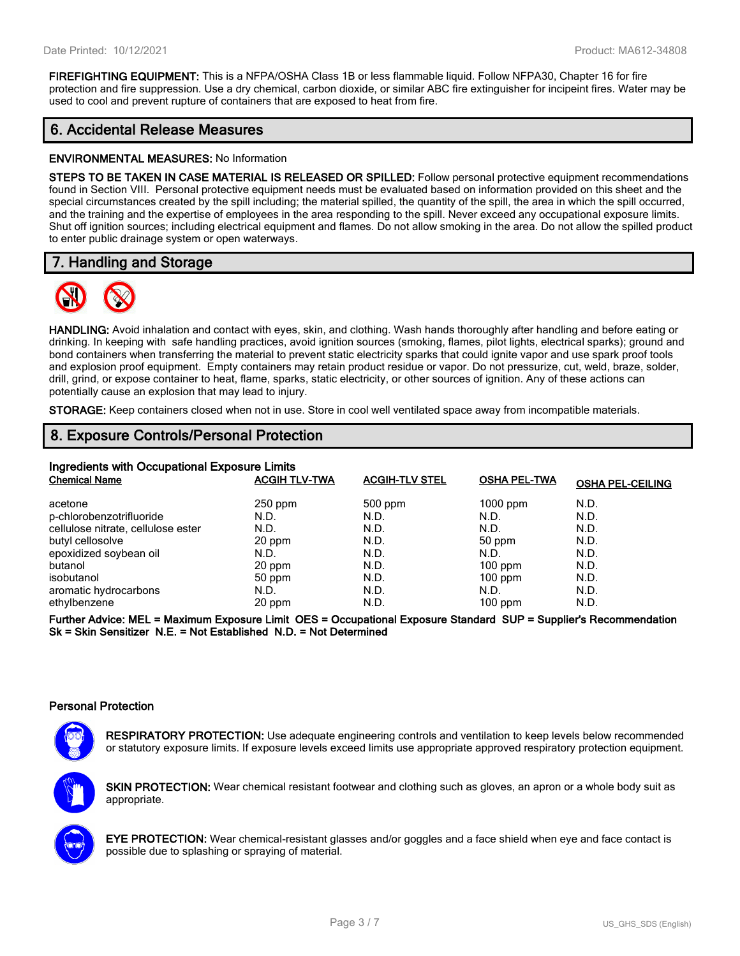**FIREFIGHTING EQUIPMENT:** This is a NFPA/OSHA Class 1B or less flammable liquid. Follow NFPA30, Chapter 16 for fire protection and fire suppression. Use a dry chemical, carbon dioxide, or similar ABC fire extinguisher for incipeint fires. Water may be used to cool and prevent rupture of containers that are exposed to heat from fire.

# **6. Accidental Release Measures**

#### **ENVIRONMENTAL MEASURES:** No Information

**STEPS TO BE TAKEN IN CASE MATERIAL IS RELEASED OR SPILLED:** Follow personal protective equipment recommendations found in Section VIII. Personal protective equipment needs must be evaluated based on information provided on this sheet and the special circumstances created by the spill including; the material spilled, the quantity of the spill, the area in which the spill occurred, and the training and the expertise of employees in the area responding to the spill. Never exceed any occupational exposure limits. Shut off ignition sources; including electrical equipment and flames. Do not allow smoking in the area. Do not allow the spilled product to enter public drainage system or open waterways.

# **7. Handling and Storage**



**HANDLING:** Avoid inhalation and contact with eyes, skin, and clothing. Wash hands thoroughly after handling and before eating or drinking. In keeping with safe handling practices, avoid ignition sources (smoking, flames, pilot lights, electrical sparks); ground and bond containers when transferring the material to prevent static electricity sparks that could ignite vapor and use spark proof tools and explosion proof equipment. Empty containers may retain product residue or vapor. Do not pressurize, cut, weld, braze, solder, drill, grind, or expose container to heat, flame, sparks, static electricity, or other sources of ignition. Any of these actions can potentially cause an explosion that may lead to injury.

**STORAGE:** Keep containers closed when not in use. Store in cool well ventilated space away from incompatible materials.

# **8. Exposure Controls/Personal Protection**

| Ingredients with Occupational Exposure Limits |                      |                       |                     |                         |  |  |
|-----------------------------------------------|----------------------|-----------------------|---------------------|-------------------------|--|--|
| <b>Chemical Name</b>                          | <b>ACGIH TLV-TWA</b> | <b>ACGIH-TLV STEL</b> | <b>OSHA PEL-TWA</b> | <b>OSHA PEL-CEILING</b> |  |  |
| acetone                                       | $250$ ppm            | 500 ppm               | $1000$ ppm          | N.D.                    |  |  |
| p-chlorobenzotrifluoride                      | N.D.                 | N.D.                  | N.D.                | N.D.                    |  |  |
| cellulose nitrate, cellulose ester            | N.D.                 | N.D.                  | N.D.                | N.D.                    |  |  |
| butyl cellosolve                              | 20 ppm               | N.D.                  | 50 ppm              | N.D.                    |  |  |
| epoxidized soybean oil                        | N.D.                 | N.D.                  | N.D.                | N.D.                    |  |  |
| butanol                                       | 20 ppm               | N.D.                  | $100$ ppm           | N.D.                    |  |  |
| isobutanol                                    | 50 ppm               | N.D.                  | $100$ ppm           | N.D.                    |  |  |
| aromatic hydrocarbons                         | N.D.                 | N.D.                  | N.D.                | N.D.                    |  |  |
| ethylbenzene                                  | 20 ppm               | N.D.                  | $100$ ppm           | N.D.                    |  |  |

**Further Advice: MEL = Maximum Exposure Limit OES = Occupational Exposure Standard SUP = Supplier's Recommendation Sk = Skin Sensitizer N.E. = Not Established N.D. = Not Determined**

#### **Personal Protection**



**RESPIRATORY PROTECTION:** Use adequate engineering controls and ventilation to keep levels below recommended or statutory exposure limits. If exposure levels exceed limits use appropriate approved respiratory protection equipment.

**SKIN PROTECTION:** Wear chemical resistant footwear and clothing such as gloves, an apron or a whole body suit as appropriate.



**EYE PROTECTION:** Wear chemical-resistant glasses and/or goggles and a face shield when eye and face contact is possible due to splashing or spraying of material.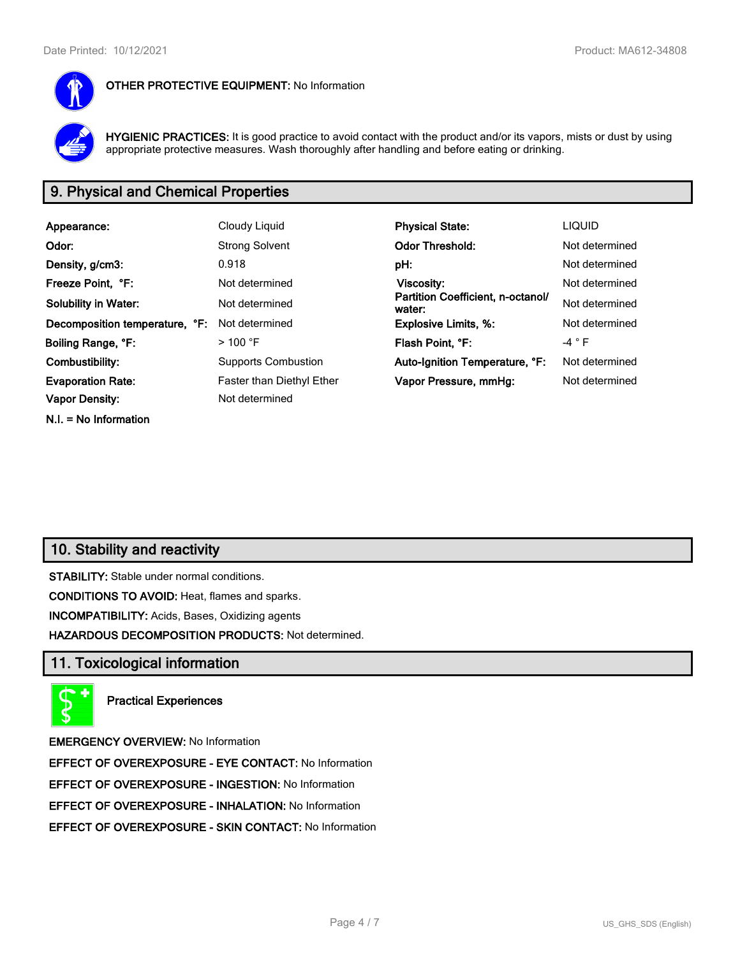

#### **OTHER PROTECTIVE EQUIPMENT:** No Information

**HYGIENIC PRACTICES:** It is good practice to avoid contact with the product and/or its vapors, mists or dust by using appropriate protective measures. Wash thoroughly after handling and before eating or drinking.

# **9. Physical and Chemical Properties**

| Appearance:                    | Cloudy Liquid              | <b>Physical State:</b>                      | <b>LIQUID</b>  |
|--------------------------------|----------------------------|---------------------------------------------|----------------|
| Odor:                          | <b>Strong Solvent</b>      | <b>Odor Threshold:</b>                      | Not determined |
| Density, g/cm3:                | 0.918                      | pH:                                         | Not determined |
| Freeze Point, °F:              | Not determined             | <b>Viscosity:</b>                           | Not determined |
| <b>Solubility in Water:</b>    | Not determined             | Partition Coefficient, n-octanol/<br>water: | Not determined |
| Decomposition temperature, °F: | Not determined             | <b>Explosive Limits, %:</b>                 | Not determined |
| Boiling Range, °F:             | $>100$ °F                  | Flash Point, °F:                            | -4 ° F         |
| Combustibility:                | <b>Supports Combustion</b> | Auto-Ignition Temperature, °F:              | Not determined |
| <b>Evaporation Rate:</b>       | Faster than Diethyl Ether  | Vapor Pressure, mmHg:                       | Not determined |
| <b>Vapor Density:</b>          | Not determined             |                                             |                |
| $N.I. = No Information$        |                            |                                             |                |

# **10. Stability and reactivity**

**STABILITY:** Stable under normal conditions.

**CONDITIONS TO AVOID:** Heat, flames and sparks.

**INCOMPATIBILITY:** Acids, Bases, Oxidizing agents

**HAZARDOUS DECOMPOSITION PRODUCTS:** Not determined.

### **11. Toxicological information**



**Practical Experiences**

**EMERGENCY OVERVIEW:** No Information

**EFFECT OF OVEREXPOSURE - EYE CONTACT:** No Information

**EFFECT OF OVEREXPOSURE - INGESTION:** No Information

**EFFECT OF OVEREXPOSURE - INHALATION:** No Information

**EFFECT OF OVEREXPOSURE - SKIN CONTACT:** No Information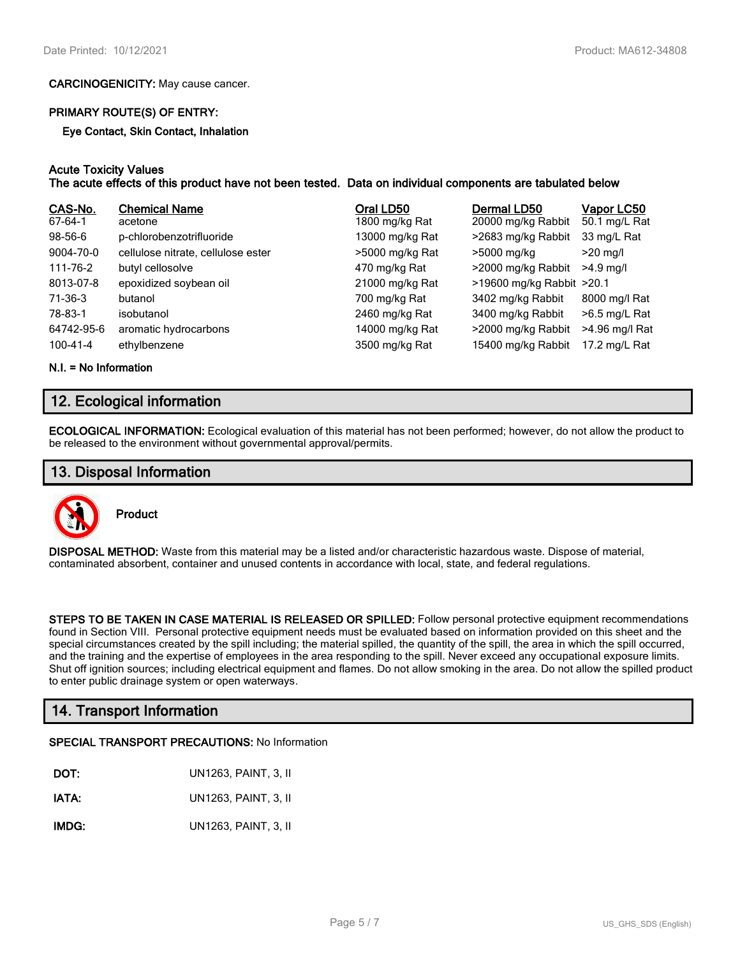#### **CARCINOGENICITY:** May cause cancer.

#### **PRIMARY ROUTE(S) OF ENTRY:**

**Eye Contact, Skin Contact, Inhalation**

#### **Acute Toxicity Values**

**The acute effects of this product have not been tested. Data on individual components are tabulated below**

| CAS-No.<br>67-64-1 | <b>Chemical Name</b><br>acetone    | Oral LD50<br>1800 mg/kg Rat | Dermal LD50<br>20000 mg/kg Rabbit | Vapor LC50<br>50.1 mg/L Rat |
|--------------------|------------------------------------|-----------------------------|-----------------------------------|-----------------------------|
| $98-56-6$          | p-chlorobenzotrifluoride           | 13000 mg/kg Rat             | >2683 mg/kg Rabbit                | 33 mg/L Rat                 |
| 9004-70-0          | cellulose nitrate, cellulose ester | >5000 mg/kg Rat             | >5000 mg/kg                       | $>20$ mg/l                  |
| 111-76-2           | butyl cellosolve                   | 470 mg/kg Rat               | >2000 mg/kg Rabbit                | $>4.9$ mg/l                 |
| 8013-07-8          | epoxidized soybean oil             | 21000 mg/kg Rat             | >19600 mg/kg Rabbit >20.1         |                             |
| 71-36-3            | butanol                            | 700 mg/kg Rat               | 3402 mg/kg Rabbit                 | 8000 mg/l Rat               |
| 78-83-1            | isobutanol                         | 2460 mg/kg Rat              | 3400 mg/kg Rabbit                 | $>6.5$ mg/L Rat             |
| 64742-95-6         | aromatic hydrocarbons              | 14000 mg/kg Rat             | >2000 mg/kg Rabbit                | >4.96 mg/l Rat              |
| 100-41-4           | ethylbenzene                       | 3500 mg/kg Rat              | 15400 mg/kg Rabbit                | 17.2 mg/L Rat               |

**N.I. = No Information**

# **12. Ecological information**

**ECOLOGICAL INFORMATION:** Ecological evaluation of this material has not been performed; however, do not allow the product to be released to the environment without governmental approval/permits.

### **13. Disposal Information**



**Product**

**DISPOSAL METHOD:** Waste from this material may be a listed and/or characteristic hazardous waste. Dispose of material, contaminated absorbent, container and unused contents in accordance with local, state, and federal regulations.

**STEPS TO BE TAKEN IN CASE MATERIAL IS RELEASED OR SPILLED:** Follow personal protective equipment recommendations found in Section VIII. Personal protective equipment needs must be evaluated based on information provided on this sheet and the special circumstances created by the spill including; the material spilled, the quantity of the spill, the area in which the spill occurred, and the training and the expertise of employees in the area responding to the spill. Never exceed any occupational exposure limits. Shut off ignition sources; including electrical equipment and flames. Do not allow smoking in the area. Do not allow the spilled product to enter public drainage system or open waterways.

# **14. Transport Information**

#### **SPECIAL TRANSPORT PRECAUTIONS:** No Information

**IATA:** UN1263, PAINT, 3, II

**IMDG:** UN1263, PAINT, 3, II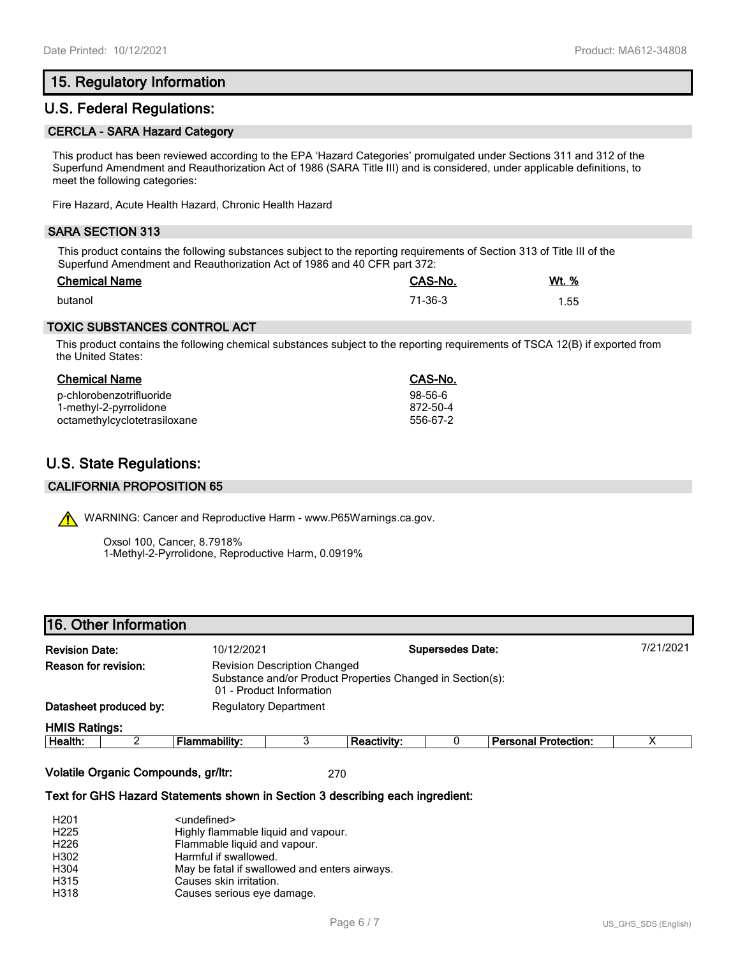# **15. Regulatory Information**

### **U.S. Federal Regulations:**

#### **CERCLA - SARA Hazard Category**

This product has been reviewed according to the EPA 'Hazard Categories' promulgated under Sections 311 and 312 of the Superfund Amendment and Reauthorization Act of 1986 (SARA Title III) and is considered, under applicable definitions, to meet the following categories:

Fire Hazard, Acute Health Hazard, Chronic Health Hazard

#### **SARA SECTION 313**

This product contains the following substances subject to the reporting requirements of Section 313 of Title III of the Superfund Amendment and Reauthorization Act of 1986 and 40 CFR part 372:

| <b>Chemical Name</b> | CAS-No. | Wt. % |
|----------------------|---------|-------|
| butanol              | 71-36-3 | 1.55  |

### **TOXIC SUBSTANCES CONTROL ACT**

This product contains the following chemical substances subject to the reporting requirements of TSCA 12(B) if exported from the United States:

# **Chemical Name CAS-No.**

| p-chlorobenzotrifluoride     | 98-56-6  |
|------------------------------|----------|
| 1-methyl-2-pyrrolidone       | 872-50-4 |
| octamethylcyclotetrasiloxane | 556-67-2 |

# **U.S. State Regulations:**

#### **CALIFORNIA PROPOSITION 65**

WARNING: Cancer and Reproductive Harm - www.P65Warnings.ca.gov.

Oxsol 100, Cancer, 8.7918% 1-Methyl-2-Pyrrolidone, Reproductive Harm, 0.0919%

### **16. Other Information**

| <b>Revision Date:</b>       |                        | 10/12/2021                                                                                                                    |                              |             | <b>Supersedes Date:</b> |                      | 7/21/2021 |
|-----------------------------|------------------------|-------------------------------------------------------------------------------------------------------------------------------|------------------------------|-------------|-------------------------|----------------------|-----------|
| <b>Reason for revision:</b> |                        | <b>Revision Description Changed</b><br>Substance and/or Product Properties Changed in Section(s):<br>01 - Product Information |                              |             |                         |                      |           |
|                             | Datasheet produced by: |                                                                                                                               | <b>Regulatory Department</b> |             |                         |                      |           |
| <b>HMIS Ratings:</b>        |                        |                                                                                                                               |                              |             |                         |                      |           |
| Health <sup>.</sup>         |                        | Flammahility:                                                                                                                 |                              | Reactivity: |                         | Personal Protection: |           |

| Health | - | .<br>iability:<br>--<br>- 12. | <b>Reactivity</b> | Protection:<br><b>Dorconol</b><br>sunai<br>-- |  |
|--------|---|-------------------------------|-------------------|-----------------------------------------------|--|
|        |   |                               |                   |                                               |  |

**Volatile Organic Compounds, gr/ltr:** 270

#### **Text for GHS Hazard Statements shown in Section 3 describing each ingredient:**

| H <sub>201</sub> | <undefined></undefined>                       |
|------------------|-----------------------------------------------|
| H <sub>225</sub> | Highly flammable liquid and vapour.           |
| H <sub>226</sub> | Flammable liquid and vapour.                  |
| H302             | Harmful if swallowed.                         |
| H304             | May be fatal if swallowed and enters airways. |
| H315             | Causes skin irritation.                       |
| H318             | Causes serious eye damage.                    |